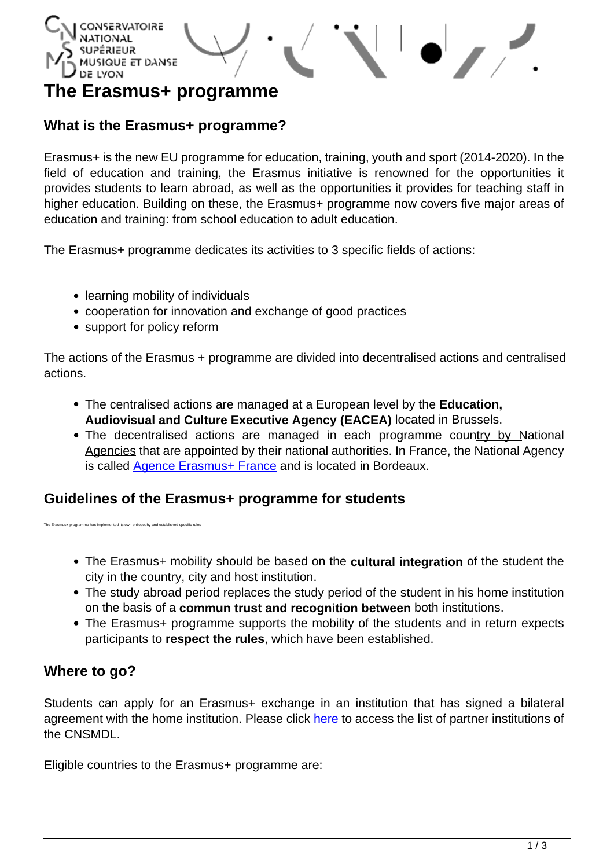

# **The Erasmus+ programme**

# **What is the Erasmus+ programme?**

Erasmus+ is the new EU programme for education, training, youth and sport (2014-2020). In the field of education and training, the Erasmus initiative is renowned for the opportunities it provides students to learn abroad, as well as the opportunities it provides for teaching staff in higher education. Building on these, the Erasmus+ programme now covers five major areas of education and training: from school education to adult education.

The Erasmus+ programme dedicates its activities to 3 specific fields of actions:

- learning mobility of individuals
- cooperation for innovation and exchange of good practices
- support for policy reform

The actions of the Erasmus + programme are divided into decentralised actions and centralised actions.

- The centralised actions are managed at a European level by the **Education, Audiovisual and Culture Executive Agency (EACEA)** located in Brussels.
- The decentralised actions are managed in each programme country by [National](http://ec.europa.eu/programmes/erasmus-plus/tools/national-agencies/index_en.htm) [Agencies](http://ec.europa.eu/programmes/erasmus-plus/tools/national-agencies/index_en.htm) that are appointed by their national authorities. In France, the National Agency is called **Agence Erasmus+ France** and is located in Bordeaux.

### **Guidelines of the Erasmus+ programme for students**

The Erasmus+ programme has implemented its own philosophy and established specific rules :

- The Erasmus+ mobility should be based on the **cultural integration** of the student the city in the country, city and host institution.
- The study abroad period replaces the study period of the student in his home institution on the basis of a **commun trust and recognition between** both institutions.
- The Erasmus+ programme supports the mobility of the students and in return expects participants to **respect the rules**, which have been established.

# **Where to go?**

Students can apply for an Erasmus+ exchange in an institution that has signed a bilateral agreement with the home institution. Please click [here](http://www.cnsmd-lyon.fr/en-2/international/partner-institutions) to access the list of partner institutions of the CNSMDL.

Eligible countries to the Erasmus+ programme are: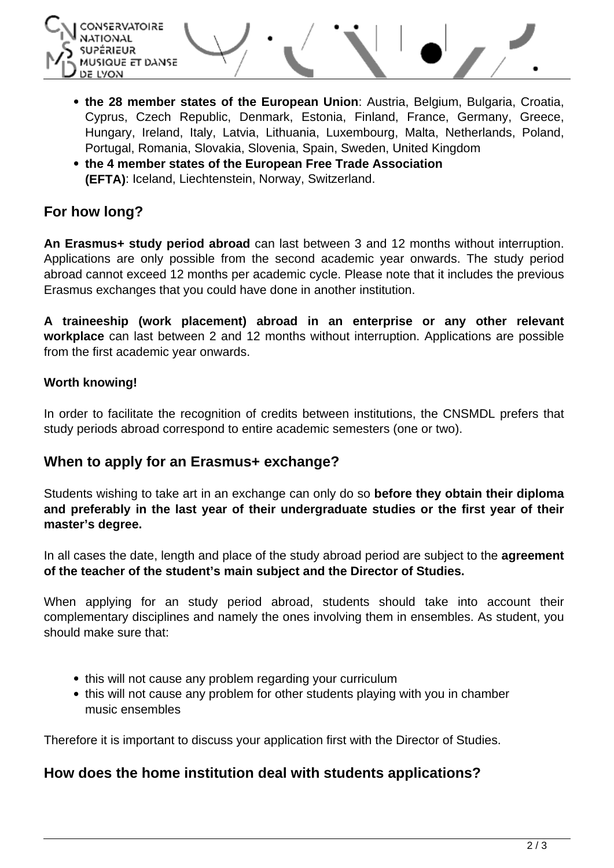

- **the 28 member states of the European Union**: Austria, Belgium, Bulgaria, Croatia, Cyprus, Czech Republic, Denmark, Estonia, Finland, France, Germany, Greece, Hungary, Ireland, Italy, Latvia, Lithuania, Luxembourg, Malta, Netherlands, Poland, Portugal, Romania, Slovakia, Slovenia, Spain, Sweden, United Kingdom
- **the 4 member states of the European Free Trade Association (EFTA)**: Iceland, Liechtenstein, Norway, Switzerland.

# **For how long?**

**An Erasmus+ study period abroad** can last between 3 and 12 months without interruption. Applications are only possible from the second academic year onwards. The study period abroad cannot exceed 12 months per academic cycle. Please note that it includes the previous Erasmus exchanges that you could have done in another institution.

**A traineeship (work placement) abroad in an enterprise or any other relevant workplace** can last between 2 and 12 months without interruption. Applications are possible from the first academic year onwards.

#### **Worth knowing!**

In order to facilitate the recognition of credits between institutions, the CNSMDL prefers that study periods abroad correspond to entire academic semesters (one or two).

# **When to apply for an Erasmus+ exchange?**

Students wishing to take art in an exchange can only do so **before they obtain their diploma and preferably in the last year of their undergraduate studies or the first year of their master's degree.**

In all cases the date, length and place of the study abroad period are subject to the **agreement of the teacher of the student's main subject and the Director of Studies.**

When applying for an study period abroad, students should take into account their complementary disciplines and namely the ones involving them in ensembles. As student, you should make sure that:

- this will not cause any problem regarding your curriculum
- this will not cause any problem for other students playing with you in chamber music ensembles

Therefore it is important to discuss your application first with the Director of Studies.

### **How does the home institution deal with students applications?**